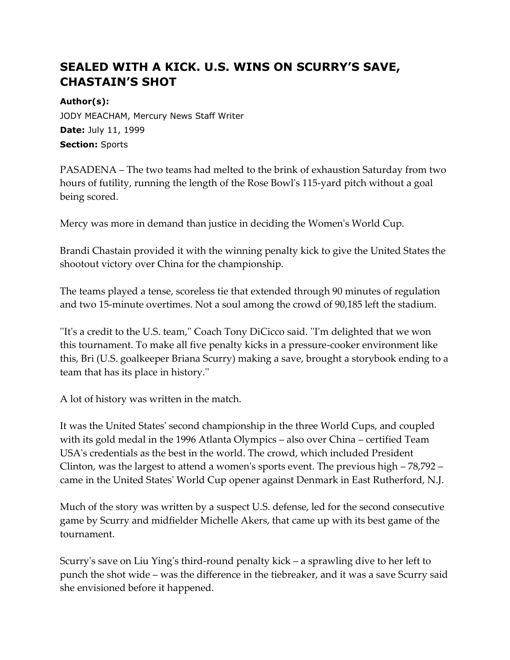## **SEALED WITH A KICK. U.S. WINS ON SCURRY'S SAVE, CHASTAIN'S SHOT**

## **Author(s):**

JODY MEACHAM, Mercury News Staff Writer **Date:** July 11, 1999 **Section:** Sports

PASADENA – The two teams had melted to the brink of exhaustion Saturday from two hours of futility, running the length of the Rose Bowl's 115-yard pitch without a goal being scored.

Mercy was more in demand than justice in deciding the Women's World Cup.

Brandi Chastain provided it with the winning penalty kick to give the United States the shootout victory over China for the championship.

The teams played a tense, scoreless tie that extended through 90 minutes of regulation and two 15-minute overtimes. Not a soul among the crowd of 90,185 left the stadium.

"It's a credit to the U.S. team," Coach Tony DiCicco said. "I'm delighted that we won this tournament. To make all five penalty kicks in a pressure-cooker environment like this, Bri (U.S. goalkeeper Briana Scurry) making a save, brought a storybook ending to a team that has its place in history.''

A lot of history was written in the match.

It was the United States' second championship in the three World Cups, and coupled with its gold medal in the 1996 Atlanta Olympics – also over China – certified Team USA's credentials as the best in the world. The crowd, which included President Clinton, was the largest to attend a women's sports event. The previous high – 78,792 – came in the United States' World Cup opener against Denmark in East Rutherford, N.J.

Much of the story was written by a suspect U.S. defense, led for the second consecutive game by Scurry and midfielder Michelle Akers, that came up with its best game of the tournament.

Scurry's save on Liu Ying's third-round penalty kick – a sprawling dive to her left to punch the shot wide – was the difference in the tiebreaker, and it was a save Scurry said she envisioned before it happened.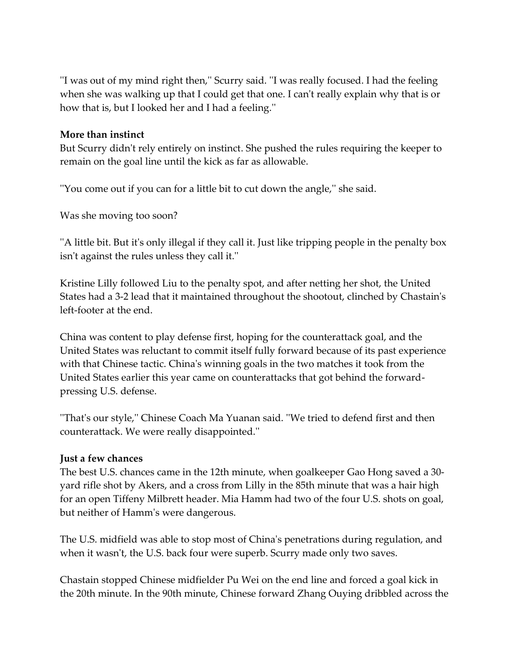''I was out of my mind right then,'' Scurry said. ''I was really focused. I had the feeling when she was walking up that I could get that one. I can't really explain why that is or how that is, but I looked her and I had a feeling.''

## **More than instinct**

But Scurry didn't rely entirely on instinct. She pushed the rules requiring the keeper to remain on the goal line until the kick as far as allowable.

''You come out if you can for a little bit to cut down the angle,'' she said.

Was she moving too soon?

''A little bit. But it's only illegal if they call it. Just like tripping people in the penalty box isn't against the rules unless they call it.''

Kristine Lilly followed Liu to the penalty spot, and after netting her shot, the United States had a 3-2 lead that it maintained throughout the shootout, clinched by Chastain's left-footer at the end.

China was content to play defense first, hoping for the counterattack goal, and the United States was reluctant to commit itself fully forward because of its past experience with that Chinese tactic. China's winning goals in the two matches it took from the United States earlier this year came on counterattacks that got behind the forwardpressing U.S. defense.

''That's our style,'' Chinese Coach Ma Yuanan said. ''We tried to defend first and then counterattack. We were really disappointed.''

## **Just a few chances**

The best U.S. chances came in the 12th minute, when goalkeeper Gao Hong saved a 30 yard rifle shot by Akers, and a cross from Lilly in the 85th minute that was a hair high for an open Tiffeny Milbrett header. Mia Hamm had two of the four U.S. shots on goal, but neither of Hamm's were dangerous.

The U.S. midfield was able to stop most of China's penetrations during regulation, and when it wasn't, the U.S. back four were superb. Scurry made only two saves.

Chastain stopped Chinese midfielder Pu Wei on the end line and forced a goal kick in the 20th minute. In the 90th minute, Chinese forward Zhang Ouying dribbled across the